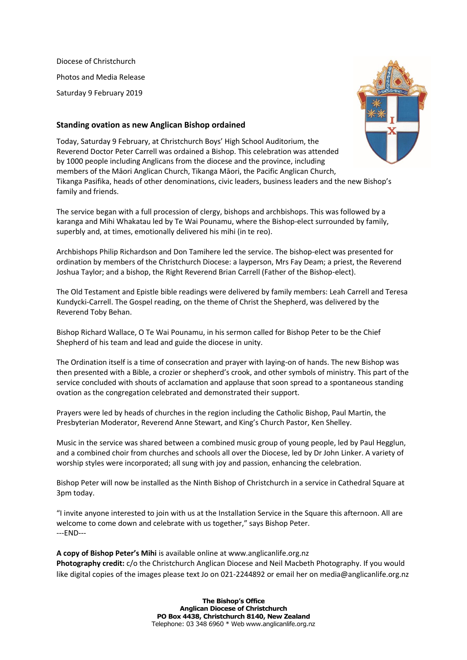Diocese of Christchurch Photos and Media Release Saturday 9 February 2019

## **Standing ovation as new Anglican Bishop ordained**



Today, Saturday 9 February, at Christchurch Boys' High School Auditorium, the Reverend Doctor Peter Carrell was ordained a Bishop. This celebration was attended by 1000 people including Anglicans from the diocese and the province, including members of the Māori Anglican Church, Tikanga Māori, the Pacific Anglican Church, Tikanga Pasifika, heads of other denominations, civic leaders, business leaders and the new Bishop's family and friends.

The service began with a full procession of clergy, bishops and archbishops. This was followed by a karanga and Mihi Whakatau led by Te Wai Pounamu, where the Bishop-elect surrounded by family, superbly and, at times, emotionally delivered his mihi (in te reo).

Archbishops Philip Richardson and Don Tamihere led the service. The bishop-elect was presented for ordination by members of the Christchurch Diocese: a layperson, Mrs Fay Deam; a priest, the Reverend Joshua Taylor; and a bishop, the Right Reverend Brian Carrell (Father of the Bishop-elect).

The Old Testament and Epistle bible readings were delivered by family members: Leah Carrell and Teresa Kundycki-Carrell. The Gospel reading, on the theme of Christ the Shepherd, was delivered by the Reverend Toby Behan.

Bishop Richard Wallace, O Te Wai Pounamu, in his sermon called for Bishop Peter to be the Chief Shepherd of his team and lead and guide the diocese in unity.

The Ordination itself is a time of consecration and prayer with laying-on of hands. The new Bishop was then presented with a Bible, a crozier or shepherd's crook, and other symbols of ministry. This part of the service concluded with shouts of acclamation and applause that soon spread to a spontaneous standing ovation as the congregation celebrated and demonstrated their support.

Prayers were led by heads of churches in the region including the Catholic Bishop, Paul Martin, the Presbyterian Moderator, Reverend Anne Stewart, and King's Church Pastor, Ken Shelley.

Music in the service was shared between a combined music group of young people, led by Paul Hegglun, and a combined choir from churches and schools all over the Diocese, led by Dr John Linker. A variety of worship styles were incorporated; all sung with joy and passion, enhancing the celebration.

Bishop Peter will now be installed as the Ninth Bishop of Christchurch in a service in Cathedral Square at 3pm today.

"I invite anyone interested to join with us at the Installation Service in the Square this afternoon. All are welcome to come down and celebrate with us together," says Bishop Peter. ---END---

**A copy of Bishop Peter's Mihi** is available online at www.anglicanlife.org.nz **Photography credit:** c/o the Christchurch Anglican Diocese and Neil Macbeth Photography. If you would like digital copies of the images please text Jo on 021-2244892 or email her on media@anglicanlife.org.nz

> **The Bishop's Office Anglican Diocese of Christchurch PO Box 4438, Christchurch 8140, New Zealand** Telephone: 03 348 6960 \* Web www.anglicanlife.org.nz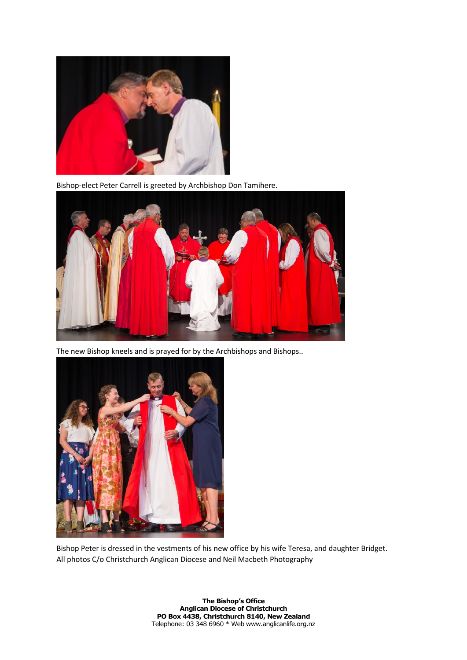

Bishop-elect Peter Carrell is greeted by Archbishop Don Tamihere.



The new Bishop kneels and is prayed for by the Archbishops and Bishops..



Bishop Peter is dressed in the vestments of his new office by his wife Teresa, and daughter Bridget. All photos C/o Christchurch Anglican Diocese and Neil Macbeth Photography

> **The Bishop's Office Anglican Diocese of Christchurch PO Box 4438, Christchurch 8140, New Zealand** Telephone: 03 348 6960 \* Web www.anglicanlife.org.nz